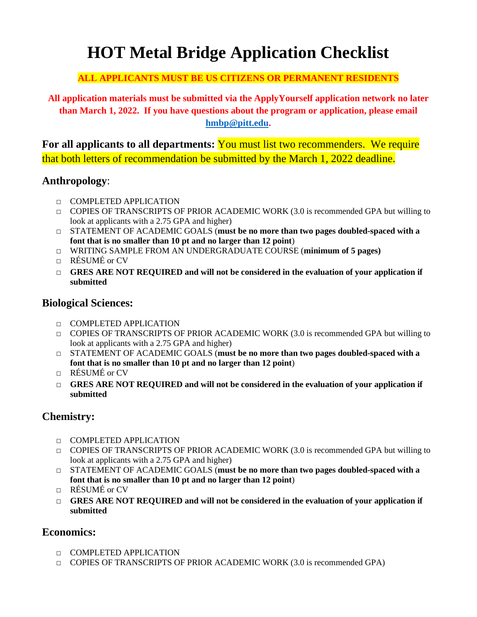# **HOT Metal Bridge Application Checklist**

#### **ALL APPLICANTS MUST BE US CITIZENS OR PERMANENT RESIDENTS**

**All application materials must be submitted via the ApplyYourself application network no later than March 1, 2022. If you have questions about the program or application, please email [hmbp@pitt.edu.](mailto:hmbp@pitt.edu)** 

**For all applicants to all departments:** You must list two recommenders. We require that both letters of recommendation be submitted by the March 1, 2022 deadline.

## **Anthropology**:

- □ COMPLETED APPLICATION
- $\Box$  COPIES OF TRANSCRIPTS OF PRIOR ACADEMIC WORK (3.0 is recommended GPA but willing to look at applicants with a 2.75 GPA and higher)
- □ STATEMENT OF ACADEMIC GOALS (**must be no more than two pages doubled-spaced with a font that is no smaller than 10 pt and no larger than 12 point**)
- □ WRITING SAMPLE FROM AN UNDERGRADUATE COURSE (**minimum of 5 pages)**
- □ RÉSUMÉ or CV
- □ **GRES ARE NOT REQUIRED and will not be considered in the evaluation of your application if submitted**

## **Biological Sciences:**

- □ COMPLETED APPLICATION
- $\Box$  COPIES OF TRANSCRIPTS OF PRIOR ACADEMIC WORK (3.0 is recommended GPA but willing to look at applicants with a 2.75 GPA and higher)
- □ STATEMENT OF ACADEMIC GOALS (must be no more than two pages doubled-spaced with a **font that is no smaller than 10 pt and no larger than 12 point**)
- $\Box$  RÉSUMÉ or CV
- □ **GRES ARE NOT REQUIRED and will not be considered in the evaluation of your application if submitted**

# **Chemistry:**

- □ COMPLETED APPLICATION
- $\Box$  COPIES OF TRANSCRIPTS OF PRIOR ACADEMIC WORK (3.0 is recommended GPA but willing to look at applicants with a 2.75 GPA and higher)
- □ STATEMENT OF ACADEMIC GOALS (**must be no more than two pages doubled-spaced with a font that is no smaller than 10 pt and no larger than 12 point**)
- □ RÉSUMÉ or CV
- □ **GRES ARE NOT REQUIRED and will not be considered in the evaluation of your application if submitted**

## **Economics:**

- □ COMPLETED APPLICATION
- $\Box$  COPIES OF TRANSCRIPTS OF PRIOR ACADEMIC WORK (3.0 is recommended GPA)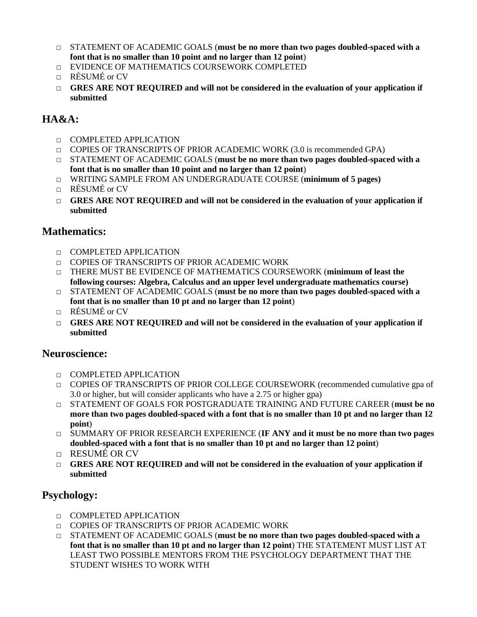- □ STATEMENT OF ACADEMIC GOALS (must be no more than two pages doubled-spaced with a **font that is no smaller than 10 point and no larger than 12 point**)
- □ EVIDENCE OF MATHEMATICS COURSEWORK COMPLETED
- $\Box$  RÉSUMÉ or CV
- □ **GRES ARE NOT REQUIRED and will not be considered in the evaluation of your application if submitted**

# **HA&A:**

- □ COMPLETED APPLICATION
- $\Box$  COPIES OF TRANSCRIPTS OF PRIOR ACADEMIC WORK (3.0 is recommended GPA)
- □ STATEMENT OF ACADEMIC GOALS (**must be no more than two pages doubled-spaced with a font that is no smaller than 10 point and no larger than 12 point**)
- □ WRITING SAMPLE FROM AN UNDERGRADUATE COURSE (**minimum of 5 pages)** □ RÉSUMÉ or CV
- □ **GRES ARE NOT REQUIRED and will not be considered in the evaluation of your application if submitted**

#### **Mathematics:**

- □ COMPLETED APPLICATION
- □ COPIES OF TRANSCRIPTS OF PRIOR ACADEMIC WORK
- □ THERE MUST BE EVIDENCE OF MATHEMATICS COURSEWORK (**minimum of least the following courses: Algebra, Calculus and an upper level undergraduate mathematics course)**
- □ STATEMENT OF ACADEMIC GOALS (**must be no more than two pages doubled-spaced with a font that is no smaller than 10 pt and no larger than 12 point**)
- □ RÉSUMÉ or CV
- □ **GRES ARE NOT REQUIRED and will not be considered in the evaluation of your application if submitted**

#### **Neuroscience:**

- □ COMPLETED APPLICATION
- □ COPIES OF TRANSCRIPTS OF PRIOR COLLEGE COURSEWORK (recommended cumulative gpa of 3.0 or higher, but will consider applicants who have a 2.75 or higher gpa)
- □ STATEMENT OF GOALS FOR POSTGRADUATE TRAINING AND FUTURE CAREER (**must be no more than two pages doubled-spaced with a font that is no smaller than 10 pt and no larger than 12 point**)
- □ SUMMARY OF PRIOR RESEARCH EXPERIENCE (**IF ANY and it must be no more than two pages doubled-spaced with a font that is no smaller than 10 pt and no larger than 12 point**)
- □ RESUMÉ OR CV
- □ **GRES ARE NOT REQUIRED and will not be considered in the evaluation of your application if submitted**

#### **Psychology:**

- □ COMPLETED APPLICATION
- □ COPIES OF TRANSCRIPTS OF PRIOR ACADEMIC WORK
- □ STATEMENT OF ACADEMIC GOALS (**must be no more than two pages doubled-spaced with a font that is no smaller than 10 pt and no larger than 12 point**) THE STATEMENT MUST LIST AT LEAST TWO POSSIBLE MENTORS FROM THE PSYCHOLOGY DEPARTMENT THAT THE STUDENT WISHES TO WORK WITH